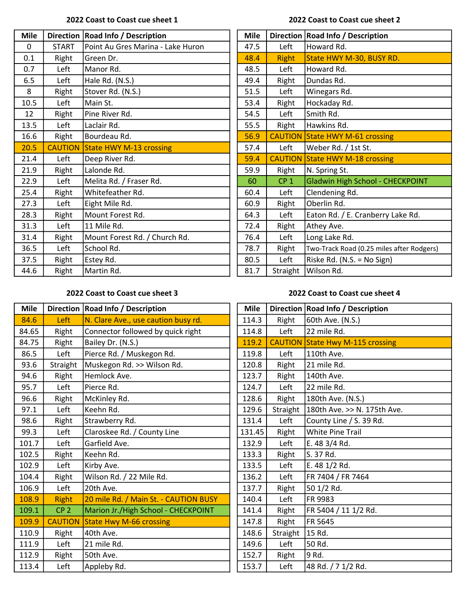### 2022 Coast to Coast cue sheet 1 2022 Coast to Coast cue sheet 2

| <b>Mile</b>  |                | Direction   Road Info / Description | <b>Mile</b> |                 | Direction   Road Info / Description       |
|--------------|----------------|-------------------------------------|-------------|-----------------|-------------------------------------------|
| $\mathbf{0}$ | <b>START</b>   | Point Au Gres Marina - Lake Huron   | 47.5        | Left            | Howard Rd.                                |
| 0.1          | Right          | Green Dr.                           | 48.4        | <b>Right</b>    | State HWY M-30, BUSY RD.                  |
| 0.7          | Left           | Manor Rd.                           | 48.5        | Left            | Howard Rd.                                |
| 6.5          | Left           | Hale Rd. (N.S.)                     | 49.4        | Right           | Dundas Rd.                                |
| 8            | Right          | Stover Rd. (N.S.)                   | 51.5        | Left            | Winegars Rd.                              |
| 10.5         | Left           | Main St.                            | 53.4        | Right           | Hockaday Rd.                              |
| 12           | Right          | Pine River Rd.                      | 54.5        | Left            | Smith Rd.                                 |
| 13.5         | Left           | Laclair Rd.                         | 55.5        | Right           | Hawkins Rd.                               |
| 16.6         | Right          | Bourdeau Rd.                        | 56.9        |                 | <b>CAUTION State HWY M-61 crossing</b>    |
| 20.5         | <b>CAUTION</b> | State HWY M-13 crossing             | 57.4        | Left            | Weber Rd. / 1st St.                       |
| 21.4         | Left           | Deep River Rd.                      | 59.4        |                 | <b>CAUTION State HWY M-18 crossing</b>    |
| 21.9         | Right          | Lalonde Rd.                         | 59.9        | Right           | N. Spring St.                             |
| 22.9         | Left           | Melita Rd. / Fraser Rd.             | 60          | CP <sub>1</sub> | Gladwin High School - CHECKPOINT          |
| 25.4         | Right          | Whitefeather Rd.                    | 60.4        | Left            | Clendening Rd.                            |
| 27.3         | Left           | Eight Mile Rd.                      | 60.9        | Right           | Oberlin Rd.                               |
| 28.3         | Right          | Mount Forest Rd.                    | 64.3        | Left            | Eaton Rd. / E. Cranberry Lake Rd.         |
| 31.3         | Left           | 11 Mile Rd.                         | 72.4        | Right           | Athey Ave.                                |
| 31.4         | Right          | Mount Forest Rd. / Church Rd.       | 76.4        | Left            | Long Lake Rd.                             |
| 36.5         | Left           | School Rd.                          | 78.7        | Right           | Two-Track Road (0.25 miles after Rodgers) |
| 37.5         | Right          | Estey Rd.                           | 80.5        | Left            | Riske Rd. (N.S. = No Sign)                |
| 44.6         | Right          | Martin Rd.                          | 81.7        | Straight        | Wilson Rd.                                |
|              |                |                                     |             |                 |                                           |

| <b>Mile</b> | <b>Direction</b> | Road Info / Description                   |
|-------------|------------------|-------------------------------------------|
| 47.5        | Left             | Howard Rd.                                |
| 48.4        | <b>Right</b>     | State HWY M-30, BUSY RD.                  |
| 48.5        | Left             | Howard Rd.                                |
| 49.4        | Right            | Dundas Rd.                                |
| 51.5        | Left             | Winegars Rd.                              |
| 53.4        | Right            | Hockaday Rd.                              |
| 54.5        | Left             | Smith Rd.                                 |
| 55.5        | Right            | Hawkins Rd.                               |
| 56.9        | <b>CAUTION</b>   | <b>State HWY M-61 crossing</b>            |
| 57.4        | Left             | Weber Rd. / 1st St.                       |
| 59.4        | <b>CAUTION</b>   | <b>State HWY M-18 crossing</b>            |
| 59.9        | Right            | N. Spring St.                             |
| 60          | CP <sub>1</sub>  | <b>Gladwin High School - CHECKPOINT</b>   |
| 60.4        | Left             | Clendening Rd.                            |
| 60.9        | Right            | Oberlin Rd.                               |
| 64.3        | Left             | Eaton Rd. / E. Cranberry Lake Rd.         |
| 72.4        | Right            | Athey Ave.                                |
| 76.4        | Left             | Long Lake Rd.                             |
| 78.7        | Right            | Two-Track Road (0.25 miles after Rodgers) |
| 80.5        | Left             | Riske Rd. (N.S. = No Sign)                |
| 81.7        | Straight         | Wilson Rd.                                |

# 2022 Coast to Coast cue sheet 3 2022 Coast to Coast cue sheet 4

| <b>Mile</b> |                 | Direction   Road Info / Description   |  | <b>Mile</b> |                | Direction   Road Info / Description |
|-------------|-----------------|---------------------------------------|--|-------------|----------------|-------------------------------------|
| 84.6        | Left            | N. Clare Ave., use caution busy rd.   |  | 114.3       | Right          | 60th Ave. (N.S.)                    |
| 84.65       | Right           | Connector followed by quick right     |  | 114.8       | Left           | 22 mile Rd.                         |
| 84.75       | Right           | Bailey Dr. (N.S.)                     |  | 119.2       | <b>CAUTION</b> | State Hwy M-115 crossing            |
| 86.5        | Left            | Pierce Rd. / Muskegon Rd.             |  | 119.8       | Left           | 110th Ave.                          |
| 93.6        | Straight        | Muskegon Rd. >> Wilson Rd.            |  | 120.8       | Right          | 21 mile Rd.                         |
| 94.6        | Right           | Hemlock Ave.                          |  | 123.7       | Right          | 140th Ave.                          |
| 95.7        | Left            | Pierce Rd.                            |  | 124.7       | Left           | 22 mile Rd.                         |
| 96.6        | Right           | McKinley Rd.                          |  | 128.6       | Right          | 180th Ave. (N.S.)                   |
| 97.1        | Left            | Keehn Rd.                             |  | 129.6       | Straight       | 180th Ave. >> N. 175th Ave.         |
| 98.6        | Right           | Strawberry Rd.                        |  | 131.4       | Left           | County Line / S. 39 Rd.             |
| 99.3        | Left            | Claroskee Rd. / County Line           |  | 131.45      | Right          | <b>White Pine Trail</b>             |
| 101.7       | Left            | Garfield Ave.                         |  | 132.9       | Left           | E. 48 3/4 Rd.                       |
| 102.5       | Right           | Keehn Rd.                             |  | 133.3       | Right          | S. 37 Rd.                           |
| 102.9       | Left            | Kirby Ave.                            |  | 133.5       | Left           | E. 48 1/2 Rd.                       |
| 104.4       | Right           | Wilson Rd. / 22 Mile Rd.              |  | 136.2       | Left           | FR 7404 / FR 7464                   |
| 106.9       | Left            | 20th Ave.                             |  | 137.7       | Right          | 50 1/2 Rd.                          |
| 108.9       | <b>Right</b>    | 20 mile Rd. / Main St. - CAUTION BUSY |  | 140.4       | Left           | FR 9983                             |
| 109.1       | CP <sub>2</sub> | Marion Jr./High School - CHECKPOINT   |  | 141.4       | Right          | FR 5404 / 11 1/2 Rd.                |
| 109.9       | <b>CAUTION</b>  | <b>State Hwy M-66 crossing</b>        |  | 147.8       | Right          | FR 5645                             |
| 110.9       | Right           | 40th Ave.                             |  | 148.6       | Straight       | 15 Rd.                              |
| 111.9       | Left            | 21 mile Rd.                           |  | 149.6       | Left           | 50 Rd.                              |
| 112.9       | Right           | 50th Ave.                             |  | 152.7       | Right          | 9 Rd.                               |
| 113.4       | Left            | Appleby Rd.                           |  | 153.7       | Left           | 48 Rd. / 7 1/2 Rd.                  |

| <b>Mile</b> |                | Direction   Road Info / Description |  |  |
|-------------|----------------|-------------------------------------|--|--|
| 114.3       | Right          | 60th Ave. (N.S.)                    |  |  |
| 114.8       | Left           | 22 mile Rd.                         |  |  |
| 119.2       | <b>CAUTION</b> | <b>State Hwy M-115 crossing</b>     |  |  |
| 119.8       | Left           | 110th Ave.                          |  |  |
| 120.8       | Right          | 21 mile Rd.                         |  |  |
| 123.7       | Right          | 140th Ave.                          |  |  |
| 124.7       | Left           | 22 mile Rd.                         |  |  |
| 128.6       | Right          | 180th Ave. (N.S.)                   |  |  |
| 129.6       | Straight       | 180th Ave. >> N. 175th Ave.         |  |  |
| 131.4       | Left           | County Line / S. 39 Rd.             |  |  |
| 131.45      | Right          | <b>White Pine Trail</b>             |  |  |
| 132.9       | Left           | E. 48 3/4 Rd.                       |  |  |
| 133.3       | Right          | S. 37 Rd.                           |  |  |
| 133.5       | Left           | E. 48 1/2 Rd.                       |  |  |
| 136.2       | Left           | FR 7404 / FR 7464                   |  |  |
| 137.7       | Right          | 50 1/2 Rd.                          |  |  |
| 140.4       | Left           | FR 9983                             |  |  |
| 141.4       | Right          | FR 5404 / 11 1/2 Rd.                |  |  |
| 147.8       | Right          | FR 5645                             |  |  |
| 148.6       | Straight       | 15 Rd.                              |  |  |
| 149.6       | Left           | 50 Rd.                              |  |  |
| 152.7       | Right          | 9 Rd.                               |  |  |
| 153.7       | Left           | 48 Rd. / 7 1/2 Rd.                  |  |  |